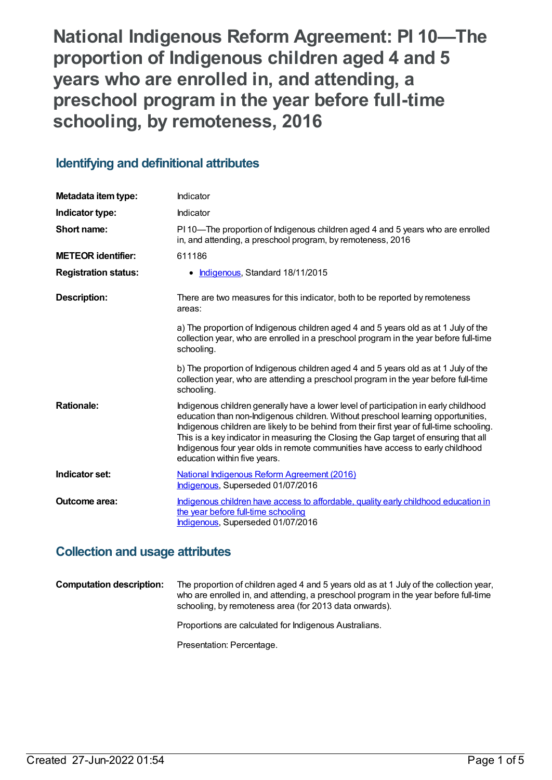**National Indigenous Reform Agreement: PI 10—The proportion of Indigenous children aged 4 and 5 years who are enrolled in, and attending, a preschool program in the year before full-time schooling, by remoteness, 2016**

# **Identifying and definitional attributes**

| Metadata item type:         | Indicator                                                                                                                                                                                                                                                                                                                                                                                                                                                                        |
|-----------------------------|----------------------------------------------------------------------------------------------------------------------------------------------------------------------------------------------------------------------------------------------------------------------------------------------------------------------------------------------------------------------------------------------------------------------------------------------------------------------------------|
| Indicator type:             | Indicator                                                                                                                                                                                                                                                                                                                                                                                                                                                                        |
| Short name:                 | PI 10—The proportion of Indigenous children aged 4 and 5 years who are enrolled<br>in, and attending, a preschool program, by remoteness, 2016                                                                                                                                                                                                                                                                                                                                   |
| <b>METEOR identifier:</b>   | 611186                                                                                                                                                                                                                                                                                                                                                                                                                                                                           |
| <b>Registration status:</b> | Indigenous, Standard 18/11/2015                                                                                                                                                                                                                                                                                                                                                                                                                                                  |
| <b>Description:</b>         | There are two measures for this indicator, both to be reported by remoteness<br>areas:                                                                                                                                                                                                                                                                                                                                                                                           |
|                             | a) The proportion of Indigenous children aged 4 and 5 years old as at 1 July of the<br>collection year, who are enrolled in a preschool program in the year before full-time<br>schooling.                                                                                                                                                                                                                                                                                       |
|                             | b) The proportion of Indigenous children aged 4 and 5 years old as at 1 July of the<br>collection year, who are attending a preschool program in the year before full-time<br>schooling.                                                                                                                                                                                                                                                                                         |
| <b>Rationale:</b>           | Indigenous children generally have a lower level of participation in early childhood<br>education than non-Indigenous children. Without preschool learning opportunities,<br>Indigenous children are likely to be behind from their first year of full-time schooling.<br>This is a key indicator in measuring the Closing the Gap target of ensuring that all<br>Indigenous four year olds in remote communities have access to early childhood<br>education within five years. |
| Indicator set:              | National Indigenous Reform Agreement (2016)<br>Indigenous, Superseded 01/07/2016                                                                                                                                                                                                                                                                                                                                                                                                 |
| <b>Outcome area:</b>        | Indigenous children have access to affordable, quality early childhood education in<br>the year before full-time schooling<br>Indigenous, Superseded 01/07/2016                                                                                                                                                                                                                                                                                                                  |

# **Collection and usage attributes**

**Computation description:** The proportion of children aged 4 and 5 years old as at 1 July of the collection year, who are enrolled in, and attending, a preschool program in the year before full-time schooling, by remoteness area (for 2013 data onwards).

Proportions are calculated for Indigenous Australians.

Presentation: Percentage.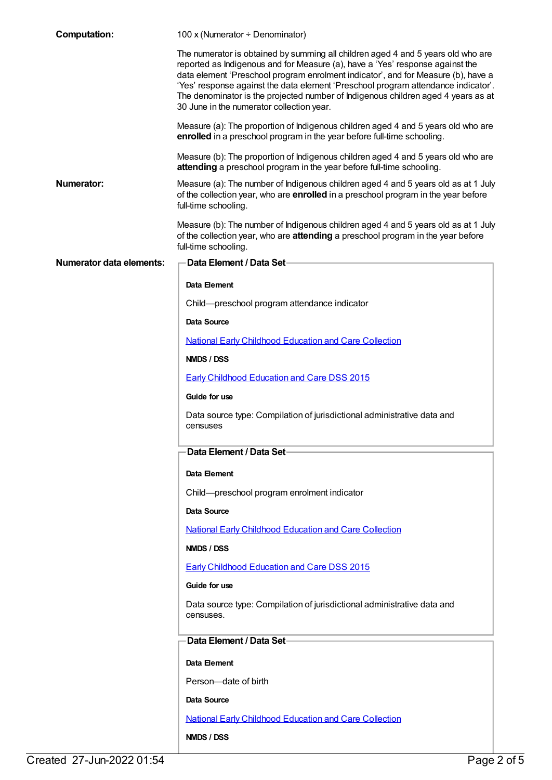| <b>Computation:</b>             | 100 x (Numerator ÷ Denominator)                                                                                                                                                                                                                                                                                                                                                                                                                                               |
|---------------------------------|-------------------------------------------------------------------------------------------------------------------------------------------------------------------------------------------------------------------------------------------------------------------------------------------------------------------------------------------------------------------------------------------------------------------------------------------------------------------------------|
|                                 | The numerator is obtained by summing all children aged 4 and 5 years old who are<br>reported as Indigenous and for Measure (a), have a 'Yes' response against the<br>data element 'Preschool program enrolment indicator', and for Measure (b), have a<br>'Yes' response against the data element 'Preschool program attendance indicator'.<br>The denominator is the projected number of Indigenous children aged 4 years as at<br>30 June in the numerator collection year. |
|                                 | Measure (a): The proportion of Indigenous children aged 4 and 5 years old who are<br>enrolled in a preschool program in the year before full-time schooling.                                                                                                                                                                                                                                                                                                                  |
|                                 | Measure (b): The proportion of Indigenous children aged 4 and 5 years old who are<br>attending a preschool program in the year before full-time schooling.                                                                                                                                                                                                                                                                                                                    |
| Numerator:                      | Measure (a): The number of Indigenous children aged 4 and 5 years old as at 1 July<br>of the collection year, who are enrolled in a preschool program in the year before<br>full-time schooling.                                                                                                                                                                                                                                                                              |
|                                 | Measure (b): The number of Indigenous children aged 4 and 5 years old as at 1 July<br>of the collection year, who are attending a preschool program in the year before<br>full-time schooling.                                                                                                                                                                                                                                                                                |
| <b>Numerator data elements:</b> | Data Element / Data Set-                                                                                                                                                                                                                                                                                                                                                                                                                                                      |
|                                 | Data Element                                                                                                                                                                                                                                                                                                                                                                                                                                                                  |
|                                 | Child-preschool program attendance indicator                                                                                                                                                                                                                                                                                                                                                                                                                                  |
|                                 | Data Source                                                                                                                                                                                                                                                                                                                                                                                                                                                                   |
|                                 | <b>National Early Childhood Education and Care Collection</b>                                                                                                                                                                                                                                                                                                                                                                                                                 |
|                                 | NMDS / DSS                                                                                                                                                                                                                                                                                                                                                                                                                                                                    |
|                                 | <b>Early Childhood Education and Care DSS 2015</b>                                                                                                                                                                                                                                                                                                                                                                                                                            |
|                                 | Guide for use                                                                                                                                                                                                                                                                                                                                                                                                                                                                 |
|                                 | Data source type: Compilation of jurisdictional administrative data and<br>censuses                                                                                                                                                                                                                                                                                                                                                                                           |
|                                 | Data Element / Data Set-                                                                                                                                                                                                                                                                                                                                                                                                                                                      |
|                                 | Data Element                                                                                                                                                                                                                                                                                                                                                                                                                                                                  |
|                                 | Child-preschool program enrolment indicator                                                                                                                                                                                                                                                                                                                                                                                                                                   |
|                                 | <b>Data Source</b>                                                                                                                                                                                                                                                                                                                                                                                                                                                            |
|                                 | <b>National Early Childhood Education and Care Collection</b>                                                                                                                                                                                                                                                                                                                                                                                                                 |
|                                 | NMDS / DSS                                                                                                                                                                                                                                                                                                                                                                                                                                                                    |
|                                 | <b>Early Childhood Education and Care DSS 2015</b>                                                                                                                                                                                                                                                                                                                                                                                                                            |
|                                 | Guide for use                                                                                                                                                                                                                                                                                                                                                                                                                                                                 |
|                                 | Data source type: Compilation of jurisdictional administrative data and<br>censuses.                                                                                                                                                                                                                                                                                                                                                                                          |
|                                 | <b>Data Element / Data Set-</b>                                                                                                                                                                                                                                                                                                                                                                                                                                               |
|                                 | Data Element                                                                                                                                                                                                                                                                                                                                                                                                                                                                  |
|                                 | Person-date of birth                                                                                                                                                                                                                                                                                                                                                                                                                                                          |
|                                 | <b>Data Source</b>                                                                                                                                                                                                                                                                                                                                                                                                                                                            |
|                                 | <b>National Early Childhood Education and Care Collection</b>                                                                                                                                                                                                                                                                                                                                                                                                                 |
|                                 | NMDS / DSS                                                                                                                                                                                                                                                                                                                                                                                                                                                                    |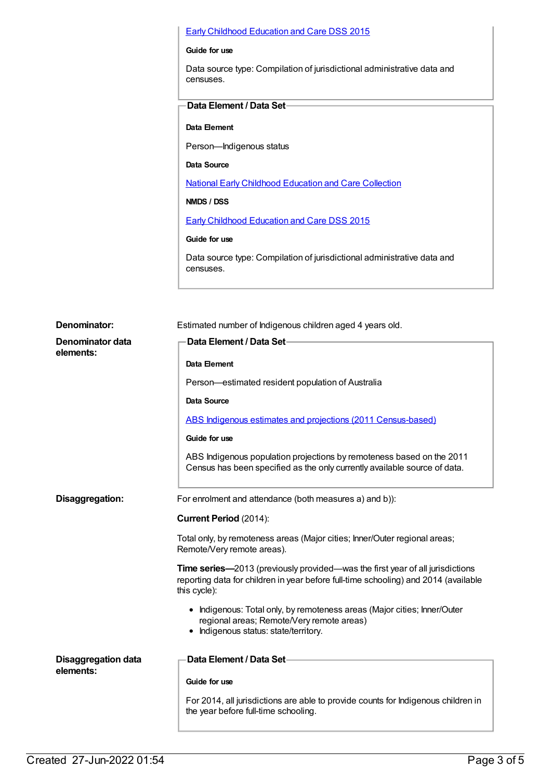#### Early Childhood [Education](https://meteor.aihw.gov.au/content/602243) and Care DSS 2015

#### **Guide for use**

Data source type: Compilation of jurisdictional administrative data and censuses.

### **Data Element / Data Set**

#### **Data Element**

Person—Indigenous status

**Data Source**

National Early [Childhood](https://meteor.aihw.gov.au/content/444080) Education and Care Collection

### **NMDS / DSS**

Early Childhood [Education](https://meteor.aihw.gov.au/content/602243) and Care DSS 2015

### **Guide for use**

Data source type: Compilation of jurisdictional administrative data and censuses.

| Denominator:                            | Estimated number of Indigenous children aged 4 years old.                                                                                                                                   |
|-----------------------------------------|---------------------------------------------------------------------------------------------------------------------------------------------------------------------------------------------|
| Denominator data<br>elements:           | Data Element / Data Set-                                                                                                                                                                    |
|                                         | Data Element                                                                                                                                                                                |
|                                         | Person-estimated resident population of Australia                                                                                                                                           |
|                                         | Data Source                                                                                                                                                                                 |
|                                         | ABS Indigenous estimates and projections (2011 Census-based)                                                                                                                                |
|                                         | Guide for use                                                                                                                                                                               |
|                                         | ABS Indigenous population projections by remoteness based on the 2011<br>Census has been specified as the only currently available source of data.                                          |
| Disaggregation:                         | For enrolment and attendance (both measures a) and b)):                                                                                                                                     |
|                                         | Current Period (2014):                                                                                                                                                                      |
|                                         | Total only, by remoteness areas (Major cities; Inner/Outer regional areas;<br>Remote/Very remote areas).                                                                                    |
|                                         | <b>Time series—2013</b> (previously provided—was the first year of all jurisdictions<br>reporting data for children in year before full-time schooling) and 2014 (available<br>this cycle): |
|                                         | • Indigenous: Total only, by remoteness areas (Major cities; Inner/Outer<br>regional areas; Remote/Very remote areas)<br>• Indigenous status: state/territory.                              |
| <b>Disaggregation data</b><br>elements: | Data Element / Data Set-                                                                                                                                                                    |
|                                         | Guide for use                                                                                                                                                                               |
|                                         | For 2014, all jurisdictions are able to provide counts for Indigenous children in<br>the year before full-time schooling.                                                                   |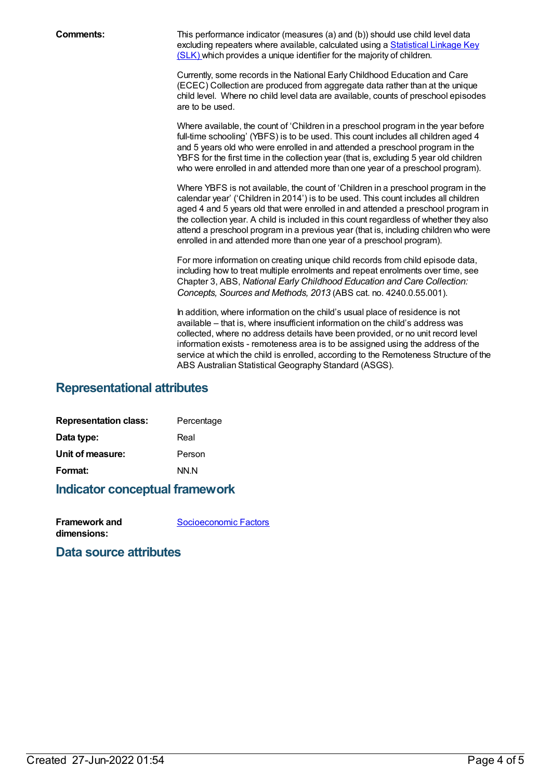**Comments:** This performance indicator (measures (a) and (b)) should use child level data excluding repeaters where available, [calculated](file:///content/349895) using a Statistical Linkage Key (SLK) which provides a unique identifier for the majority of children.

> Currently, some records in the National Early Childhood Education and Care (ECEC) Collection are produced from aggregate data rather than at the unique child level. Where no child level data are available, counts of preschool episodes are to be used.

> Where available, the count of 'Children in a preschool program in the year before full-time schooling' (YBFS) is to be used. This count includes all children aged 4 and 5 years old who were enrolled in and attended a preschool program in the YBFS for the first time in the collection year (that is, excluding 5 year old children who were enrolled in and attended more than one year of a preschool program).

Where YBFS is not available, the count of 'Children in a preschool program in the calendar year' ('Children in 2014') is to be used. This count includes all children aged 4 and 5 years old that were enrolled in and attended a preschool program in the collection year. A child is included in this count regardless of whether they also attend a preschool program in a previous year (that is, including children who were enrolled in and attended more than one year of a preschool program).

For more information on creating unique child records from child episode data, including how to treat multiple enrolments and repeat enrolments over time, see Chapter 3, ABS, *National Early Childhood Education and Care Collection: Concepts, Sources and Methods, 2013* (ABS cat. no. 4240.0.55.001).

In addition, where information on the child's usual place of residence is not available – that is, where insufficient information on the child's address was collected, where no address details have been provided, or no unit record level information exists - remoteness area is to be assigned using the address of the service at which the child is enrolled, according to the Remoteness Structure of the ABS Australian Statistical Geography Standard (ASGS).

### **Representational attributes**

| Percentage |
|------------|
| Real       |
| Person     |
| NN.N       |
|            |

### **Indicator conceptual framework**

| Framework and | Socioeconomic Factors |
|---------------|-----------------------|
| dimensions:   |                       |

### **Data source attributes**